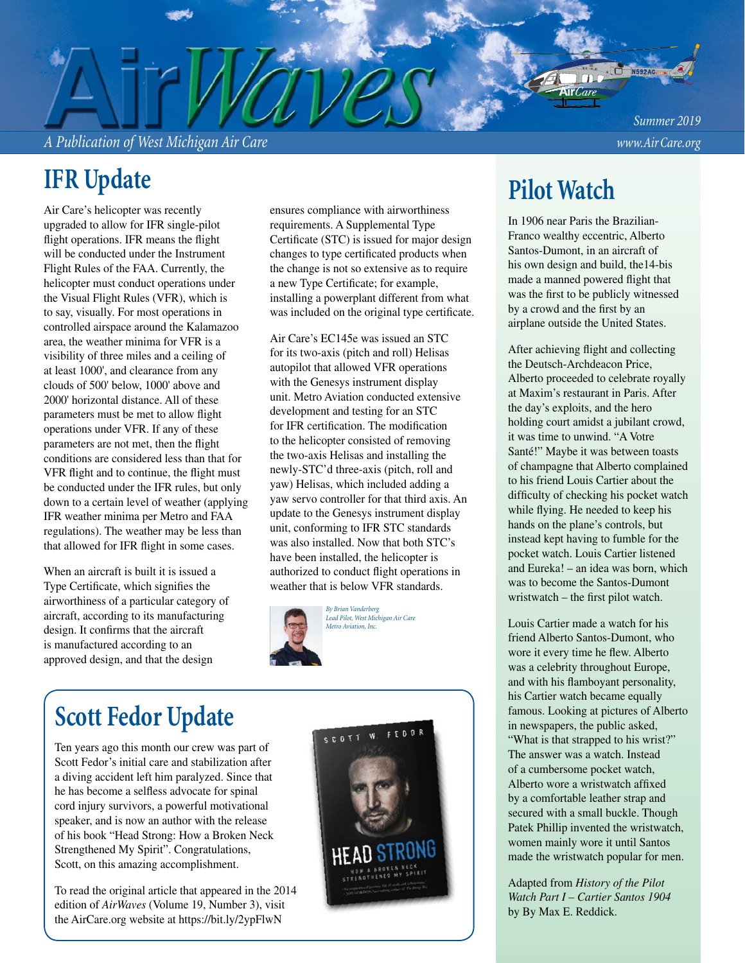*A Publication of West Michigan Air Care www.Air Care.org*

*Summer 2019*

# **IFR Update**

Air Care's helicopter was recently upgraded to allow for IFR single-pilot flight operations. IFR means the flight will be conducted under the Instrument Flight Rules of the FAA. Currently, the helicopter must conduct operations under the Visual Flight Rules (VFR), which is to say, visually. For most operations in controlled airspace around the Kalamazoo area, the weather minima for VFR is a visibility of three miles and a ceiling of at least 1000', and clearance from any clouds of 500' below, 1000' above and 2000' horizontal distance. All of these parameters must be met to allow flight operations under VFR. If any of these parameters are not met, then the flight conditions are considered less than that for VFR flight and to continue, the flight must be conducted under the IFR rules, but only down to a certain level of weather (applying IFR weather minima per Metro and FAA regulations). The weather may be less than that allowed for IFR flight in some cases.

When an aircraft is built it is issued a Type Certificate, which signifies the airworthiness of a particular category of aircraft, according to its manufacturing design. It confirms that the aircraft is manufactured according to an approved design, and that the design

ensures compliance with airworthiness requirements. A Supplemental Type Certificate (STC) is issued for major design changes to type certificated products when the change is not so extensive as to require a new Type Certificate; for example, installing a powerplant different from what was included on the original type certificate.

Air Care's EC145e was issued an STC for its two-axis (pitch and roll) Helisas autopilot that allowed VFR operations with the Genesys instrument display unit. Metro Aviation conducted extensive development and testing for an STC for IFR certification. The modification to the helicopter consisted of removing the two-axis Helisas and installing the newly-STC'd three-axis (pitch, roll and yaw) Helisas, which included adding a yaw servo controller for that third axis. An update to the Genesys instrument display unit, conforming to IFR STC standards was also installed. Now that both STC's have been installed, the helicopter is authorized to conduct flight operations in weather that is below VFR standards.



# **Scott Fedor Update**

Ten years ago this month our crew was part of Scott Fedor's initial care and stabilization after a diving accident left him paralyzed. Since that he has become a selfless advocate for spinal cord injury survivors, a powerful motivational speaker, and is now an author with the release of his book "Head Strong: How a Broken Neck Strengthened My Spirit". Congratulations, Scott, on this amazing accomplishment.

To read the original article that appeared in the 2014 edition of *AirWaves* (Volume 19, Number 3), visit the AirCare.org website at https://bit.ly/2ypFlwN



## **Pilot Watch**

In 1906 near Paris the Brazilian-Franco wealthy eccentric, Alberto Santos-Dumont, in an aircraft of his own design and build, the14-bis made a manned powered flight that was the first to be publicly witnessed by a crowd and the first by an airplane outside the United States.

After achieving flight and collecting the Deutsch-Archdeacon Price, Alberto proceeded to celebrate royally at Maxim's restaurant in Paris. After the day's exploits, and the hero holding court amidst a jubilant crowd, it was time to unwind. "A Votre Santé!" Maybe it was between toasts of champagne that Alberto complained to his friend Louis Cartier about the difficulty of checking his pocket watch while flying. He needed to keep his hands on the plane's controls, but instead kept having to fumble for the pocket watch. Louis Cartier listened and Eureka! – an idea was born, which was to become the Santos-Dumont wristwatch – the first pilot watch.

Louis Cartier made a watch for his friend Alberto Santos-Dumont, who wore it every time he flew. Alberto was a celebrity throughout Europe, and with his flamboyant personality, his Cartier watch became equally famous. Looking at pictures of Alberto in newspapers, the public asked, "What is that strapped to his wrist?" The answer was a watch. Instead of a cumbersome pocket watch, Alberto wore a wristwatch affixed by a comfortable leather strap and secured with a small buckle. Though Patek Phillip invented the wristwatch, women mainly wore it until Santos made the wristwatch popular for men.

Adapted from *History of the Pilot Watch Part I – Cartier Santos 1904*  by By Max E. Reddick.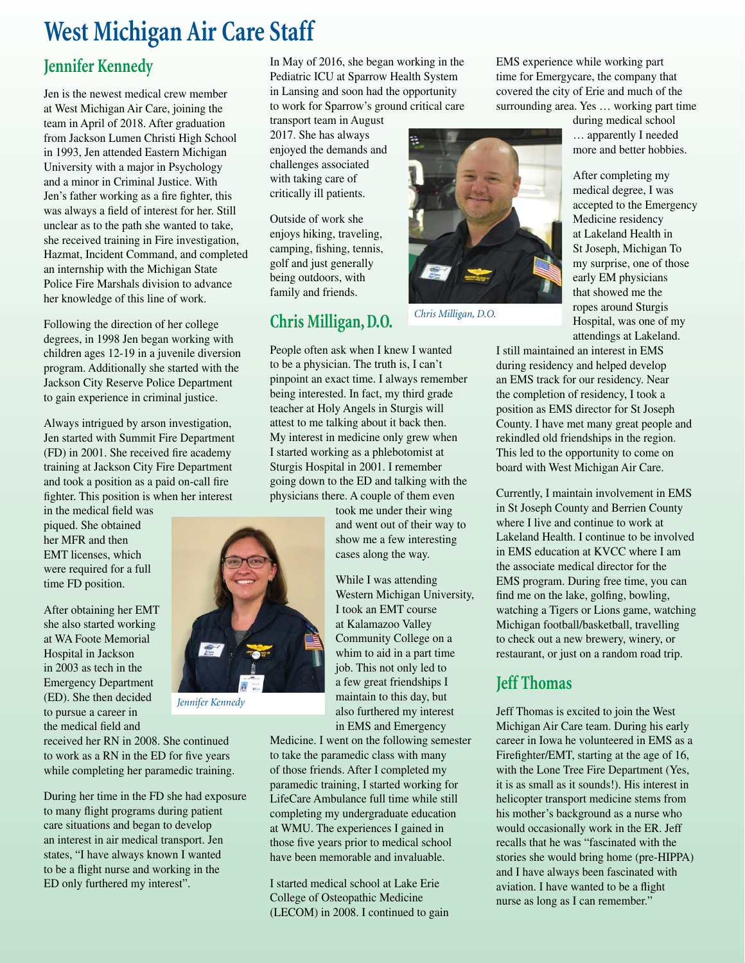## **West Michigan Air Care Staff**

#### **Jennifer Kennedy**

Jen is the newest medical crew member at West Michigan Air Care, joining the team in April of 2018. After graduation from Jackson Lumen Christi High School in 1993, Jen attended Eastern Michigan University with a major in Psychology and a minor in Criminal Justice. With Jen's father working as a fire fighter, this was always a field of interest for her. Still unclear as to the path she wanted to take, she received training in Fire investigation, Hazmat, Incident Command, and completed an internship with the Michigan State Police Fire Marshals division to advance her knowledge of this line of work.

Following the direction of her college degrees, in 1998 Jen began working with children ages 12-19 in a juvenile diversion program. Additionally she started with the Jackson City Reserve Police Department to gain experience in criminal justice.

Always intrigued by arson investigation, Jen started with Summit Fire Department (FD) in 2001. She received fire academy training at Jackson City Fire Department and took a position as a paid on-call fire fighter. This position is when her interest

in the medical field was piqued. She obtained her MFR and then EMT licenses, which were required for a full time FD position.

After obtaining her EMT she also started working at WA Foote Memorial Hospital in Jackson in 2003 as tech in the Emergency Department (ED). She then decided to pursue a career in the medical field and

received her RN in 2008. She continued to work as a RN in the ED for five years while completing her paramedic training.

During her time in the FD she had exposure to many flight programs during patient care situations and began to develop an interest in air medical transport. Jen states, "I have always known I wanted to be a flight nurse and working in the ED only furthered my interest".

In May of 2016, she began working in the Pediatric ICU at Sparrow Health System in Lansing and soon had the opportunity to work for Sparrow's ground critical care

transport team in August 2017. She has always enjoyed the demands and challenges associated with taking care of critically ill patients.

Outside of work she enjoys hiking, traveling, camping, fishing, tennis, golf and just generally being outdoors, with family and friends.

### **Chris Milligan, D.O.**

People often ask when I knew I wanted to be a physician. The truth is, I can't pinpoint an exact time. I always remember being interested. In fact, my third grade teacher at Holy Angels in Sturgis will attest to me talking about it back then. My interest in medicine only grew when I started working as a phlebotomist at Sturgis Hospital in 2001. I remember going down to the ED and talking with the physicians there. A couple of them even

> took me under their wing and went out of their way to show me a few interesting cases along the way.

While I was attending Western Michigan University, I took an EMT course at Kalamazoo Valley Community College on a whim to aid in a part time job. This not only led to a few great friendships I maintain to this day, but also furthered my interest in EMS and Emergency

Medicine. I went on the following semester to take the paramedic class with many of those friends. After I completed my paramedic training, I started working for LifeCare Ambulance full time while still completing my undergraduate education at WMU. The experiences I gained in those five years prior to medical school have been memorable and invaluable.

I started medical school at Lake Erie College of Osteopathic Medicine (LECOM) in 2008. I continued to gain EMS experience while working part time for Emergycare, the company that covered the city of Erie and much of the surrounding area. Yes … working part time



*Chris Milligan, D.O.*

during medical school … apparently I needed more and better hobbies.

After completing my medical degree, I was accepted to the Emergency Medicine residency at Lakeland Health in St Joseph, Michigan To my surprise, one of those early EM physicians that showed me the ropes around Sturgis Hospital, was one of my attendings at Lakeland.

I still maintained an interest in EMS during residency and helped develop an EMS track for our residency. Near the completion of residency, I took a position as EMS director for St Joseph County. I have met many great people and rekindled old friendships in the region. This led to the opportunity to come on board with West Michigan Air Care.

Currently, I maintain involvement in EMS in St Joseph County and Berrien County where I live and continue to work at Lakeland Health. I continue to be involved in EMS education at KVCC where I am the associate medical director for the EMS program. During free time, you can find me on the lake, golfing, bowling, watching a Tigers or Lions game, watching Michigan football/basketball, travelling to check out a new brewery, winery, or restaurant, or just on a random road trip.

#### **Jeff Thomas**

Jeff Thomas is excited to join the West Michigan Air Care team. During his early career in Iowa he volunteered in EMS as a Firefighter/EMT, starting at the age of 16, with the Lone Tree Fire Department (Yes, it is as small as it sounds!). His interest in helicopter transport medicine stems from his mother's background as a nurse who would occasionally work in the ER. Jeff recalls that he was "fascinated with the stories she would bring home (pre-HIPPA) and I have always been fascinated with aviation. I have wanted to be a flight nurse as long as I can remember."



*Jennifer Kennedy*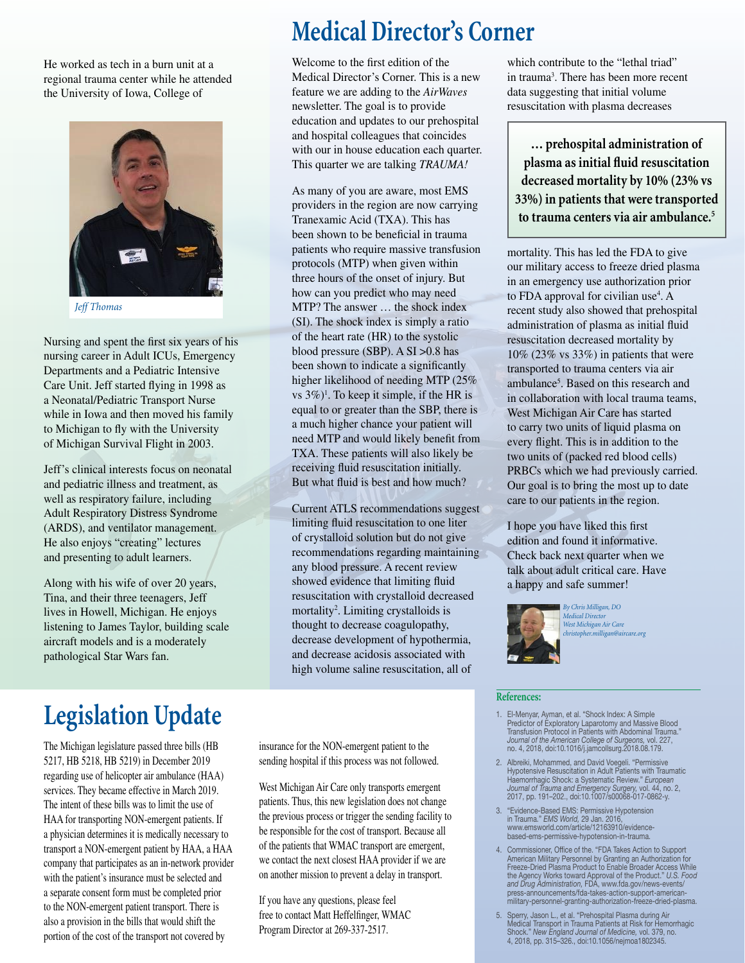He worked as tech in a burn unit at a regional trauma center while he attended the University of Iowa, College of



*Jeff Thomas*

Nursing and spent the first six years of his nursing career in Adult ICUs, Emergency Departments and a Pediatric Intensive Care Unit. Jeff started flying in 1998 as a Neonatal/Pediatric Transport Nurse while in Iowa and then moved his family to Michigan to fly with the University of Michigan Survival Flight in 2003.

Jeff's clinical interests focus on neonatal and pediatric illness and treatment, as well as respiratory failure, including Adult Respiratory Distress Syndrome (ARDS), and ventilator management. He also enjoys "creating" lectures and presenting to adult learners.

Along with his wife of over 20 years, Tina, and their three teenagers, Jeff lives in Howell, Michigan. He enjoys listening to James Taylor, building scale aircraft models and is a moderately pathological Star Wars fan.

## **Medical Director's Corner**

Welcome to the first edition of the Medical Director's Corner. This is a new feature we are adding to the *AirWaves* newsletter. The goal is to provide education and updates to our prehospital and hospital colleagues that coincides with our in house education each quarter. This quarter we are talking *TRAUMA!*

As many of you are aware, most EMS providers in the region are now carrying Tranexamic Acid (TXA). This has been shown to be beneficial in trauma patients who require massive transfusion protocols (MTP) when given within three hours of the onset of injury. But how can you predict who may need MTP? The answer … the shock index (SI). The shock index is simply a ratio of the heart rate (HR) to the systolic blood pressure (SBP). A SI >0.8 has been shown to indicate a significantly higher likelihood of needing MTP (25% vs  $3\%)$ <sup>1</sup>. To keep it simple, if the HR is equal to or greater than the SBP, there is a much higher chance your patient will need MTP and would likely benefit from TXA. These patients will also likely be receiving fluid resuscitation initially. But what fluid is best and how much?

Current ATLS recommendations suggest limiting fluid resuscitation to one liter of crystalloid solution but do not give recommendations regarding maintaining any blood pressure. A recent review showed evidence that limiting fluid resuscitation with crystalloid decreased mortality<sup>2</sup>. Limiting crystalloids is thought to decrease coagulopathy, decrease development of hypothermia, and decrease acidosis associated with high volume saline resuscitation, all of

#### which contribute to the "lethal triad" in trauma<sup>3</sup>. There has been more recent data suggesting that initial volume resuscitation with plasma decreases

**… prehospital administration of plasma as initial fluid resuscitation decreased mortality by 10% (23% vs 33%) in patients that were transported to trauma centers via air ambulance.5**

mortality. This has led the FDA to give our military access to freeze dried plasma in an emergency use authorization prior to FDA approval for civilian use<sup>4</sup>. A recent study also showed that prehospital administration of plasma as initial fluid resuscitation decreased mortality by 10% (23% vs 33%) in patients that were transported to trauma centers via air ambulance<sup>5</sup>. Based on this research and in collaboration with local trauma teams, West Michigan Air Care has started to carry two units of liquid plasma on every flight. This is in addition to the two units of (packed red blood cells) PRBCs which we had previously carried. Our goal is to bring the most up to date care to our patients in the region.

I hope you have liked this first edition and found it informative. Check back next quarter when we talk about adult critical care. Have a happy and safe summer!



*By Chris Milligan, DO Medical Director West Michigan Air Care christopher.milligan@aircare.org*

# **Legislation Update**

The Michigan legislature passed three bills (HB 5217, HB 5218, HB 5219) in December 2019 regarding use of helicopter air ambulance (HAA) services. They became effective in March 2019. The intent of these bills was to limit the use of HAA for transporting NON-emergent patients. If a physician determines it is medically necessary to transport a NON-emergent patient by HAA, a HAA company that participates as an in-network provider with the patient's insurance must be selected and a separate consent form must be completed prior to the NON-emergent patient transport. There is also a provision in the bills that would shift the portion of the cost of the transport not covered by

insurance for the NON-emergent patient to the sending hospital if this process was not followed.

West Michigan Air Care only transports emergent patients. Thus, this new legislation does not change the previous process or trigger the sending facility to be responsible for the cost of transport. Because all of the patients that WMAC transport are emergent, we contact the next closest HAA provider if we are on another mission to prevent a delay in transport.

If you have any questions, please feel free to contact Matt Heffelfinger, WMAC Program Director at 269-337-2517.

#### **References:**

- 1. El-Menyar, Ayman, et al. "Shock Index: A Simple<br>Predictor of Exploratory Laparotomy and Massive Blood<br>Transfusion Protocol in Patients with Abdominal Trauma."<br>Journal of the American College of Surgeons, vol. 227,<br>no. 4
- 2. Albreiki, Mohammed, and David Voegeli. "Permissive Hypotensive Resuscitation in Adult Patients with Traumatic Haemorrhagic Shock: a Systematic Review." *European Journal of Trauma and Emergency Surgery,* vol. 44, no. 2, 2017, pp. 191–202., doi:10.1007/s00068-017-0862-y.
- 3. "Evidence-Based EMS: Permissive Hypotension in Trauma." *EMS World,* 29 Jan. 2016, www.emsworld.com/article/12163910/evidencebased-ems-permissive-hypotension-in-trauma.
- 4. Commissioner, Office of the. "FDA Takes Action to Support American Military Personnel by Granting an Authorization for Freeze-Dried Plasma Product to Enable Broader Access While the Agency Works toward Approval of the Product." *U.S. Food and Drug Administration,* FDA, www.fda.gov/news-events/ press-announcements/fda-takes-action-support-americanmilitary-personnel-granting-authorization-freeze-dried-plasma.
- 5. Sperry, Jason L., et al. "Prehospital Plasma during Air<br>Medical Transport in Trauma Patients at Risk for Hemorrhagic<br>Shock." *New England Journal of Medicine*, vol. 379, no.<br>4, 2018, pp. 315–326., doi:10.1056/nejmoa1802